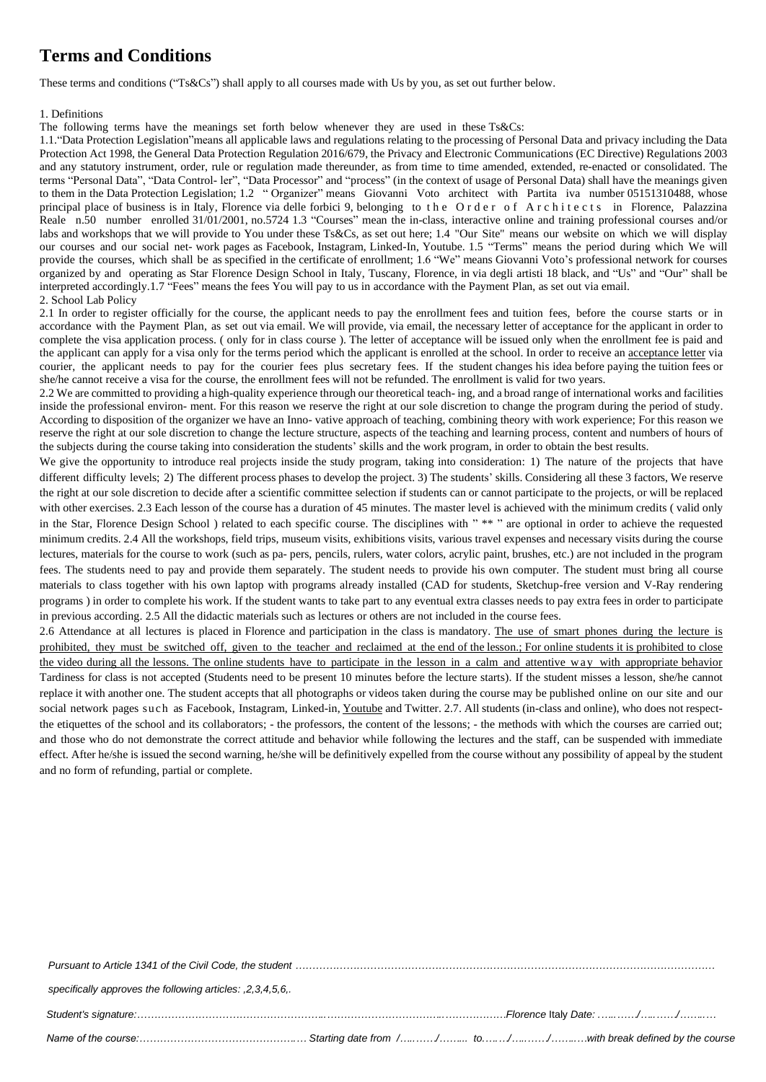## **Terms and Conditions**

These terms and conditions ("Ts&Cs") shall apply to all courses made with Us by you, as set out further below.

## 1. Definitions

The following terms have the meanings set forth below whenever they are used in these Ts&Cs:

1.1."Data Protection Legislation"means all applicable laws and regulations relating to the processing of Personal Data and privacy including the Data Protection Act 1998, the General Data Protection Regulation 2016/679, the Privacy and Electronic Communications (EC Directive) Regulations 2003 and any statutory instrument, order, rule or regulation made thereunder, as from time to time amended, extended, re-enacted or consolidated. The terms "Personal Data", "Data Control- ler", "Data Processor" and "process" (in the context of usage of Personal Data) shall have the meanings given to them in the Data Protection Legislation; 1.2 " Organizer" means Giovanni Voto architect with Partita iva number 05151310488, whose principal place of business is in Italy, Florence via delle forbici 9, belonging to the Order of Architects in Florence, Palazzina Reale n.50 number enrolled 31/01/2001, no.5724 1.3 "Courses" mean the in-class, interactive online and training professional courses and/or labs and workshops that we will provide to You under these Ts&Cs, as set out here; 1.4 "Our Site" means our website on which we will display our courses and our social net- work pages as Facebook, Instagram, Linked-In, Youtube. 1.5 "Terms" means the period during which We will provide the courses, which shall be as specified in the certificate of enrollment; 1.6 "We" means Giovanni Voto's professional network for courses organized by and operating as Star Florence Design School in Italy, Tuscany, Florence, in via degli artisti 18 black, and "Us" and "Our" shall be interpreted accordingly.1.7 "Fees" means the fees You will pay to us in accordance with the Payment Plan, as set out via email. 2. School Lab Policy

2.1 In order to register officially for the course, the applicant needs to pay the enrollment fees and tuition fees, before the course starts or in accordance with the Payment Plan, as set out via email. We will provide, via email, the necessary letter of acceptance for the applicant in order to complete the visa application process. ( only for in class course ). The letter of acceptance will be issued only when the enrollment fee is paid and the applicant can apply for a visa only for the terms period which the applicant is enrolled at the school. In order to receive an acceptance letter via courier, the applicant needs to pay for the courier fees plus secretary fees. If the student changes his idea before paying the tuition fees or she/he cannot receive a visa for the course, the enrollment fees will not be refunded. The enrollment is valid for two years.

2.2 We are committed to providing a high-quality experience through our theoretical teach- ing, and a broad range of international works and facilities inside the professional environ- ment. For this reason we reserve the right at our sole discretion to change the program during the period of study. According to disposition of the organizer we have an Inno- vative approach of teaching, combining theory with work experience; For this reason we reserve the right at our sole discretion to change the lecture structure, aspects of the teaching and learning process, content and numbers of hours of the subjects during the course taking into consideration the students' skills and the work program, in order to obtain the best results.

We give the opportunity to introduce real projects inside the study program, taking into consideration: 1) The nature of the projects that have different difficulty levels; 2) The different process phases to develop the project. 3) The students' skills. Considering all these 3 factors, We reserve the right at our sole discretion to decide after a scientific committee selection if students can or cannot participate to the projects, or will be replaced with other exercises. 2.3 Each lesson of the course has a duration of 45 minutes. The master level is achieved with the minimum credits ( valid only in the Star, Florence Design School ) related to each specific course. The disciplines with " \*\* " are optional in order to achieve the requested minimum credits. 2.4 All the workshops, field trips, museum visits, exhibitions visits, various travel expenses and necessary visits during the course lectures, materials for the course to work (such as pa- pers, pencils, rulers, water colors, acrylic paint, brushes, etc.) are not included in the program fees. The students need to pay and provide them separately. The student needs to provide his own computer. The student must bring all course materials to class together with his own laptop with programs already installed (CAD for students, Sketchup-free version and V-Ray rendering programs ) in order to complete his work. If the student wants to take part to any eventual extra classes needs to pay extra fees in order to participate in previous according. 2.5 All the didactic materials such as lectures or others are not included in the course fees.

2.6 Attendance at all lectures is placed in Florence and participation in the class is mandatory. The use of smart phones during the lecture is prohibited, they must be switched off, given to the teacher and reclaimed at the end of the lesson.; For online students it is prohibited to close the video during all the lessons. The online students have to participate in the lesson in a calm and attentive way with appropriate behavior Tardiness for class is not accepted (Students need to be present 10 minutes before the lecture starts). If the student misses a lesson, she/he cannot replace it with another one. The student accepts that all photographs or videos taken during the course may be published online on our site and our social network pages such as Facebook, Instagram, Linked-in, Youtube and Twitter. 2.7. All students (in-class and online), who does not respectthe etiquettes of the school and its collaborators; - the professors, the content of the lessons; - the methods with which the courses are carried out; and those who do not demonstrate the correct attitude and behavior while following the lectures and the staff, can be suspended with immediate effect. After he/she is issued the second warning, he/she will be definitively expelled from the course without any possibility of appeal by the student and no form of refunding, partial or complete.

| specifically approves the following articles: , 2, 3, 4, 5, 6,. |  |
|-----------------------------------------------------------------|--|
|                                                                 |  |
|                                                                 |  |